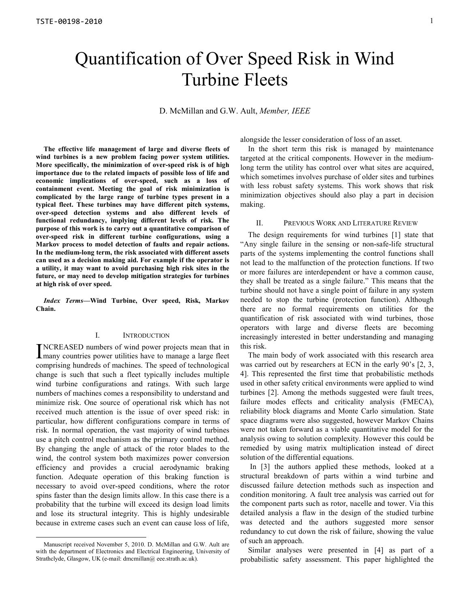# Quantification of Over Speed Risk in Wind Turbine Fleets

D. McMillan and G.W. Ault, *Member, IEEE*

**The effective life management of large and diverse fleets of wind turbines is a new problem facing power system utilities. More specifically, the minimization of over-speed risk is of high importance due to the related impacts of possible loss of life and economic implications of over-speed, such as a loss of containment event. Meeting the goal of risk minimization is complicated by the large range of turbine types present in a typical fleet. These turbines may have different pitch systems, over-speed detection systems and also different levels of functional redundancy, implying different levels of risk. The purpose of this work is to carry out a quantitative comparison of over-speed risk in different turbine configurations, using a Markov process to model detection of faults and repair actions. In the medium-long term, the risk associated with different assets can used as a decision making aid. For example if the operator is a utility, it may want to avoid purchasing high risk sites in the future, or may need to develop mitigation strategies for turbines at high risk of over speed.** 

*Index Terms***—Wind Turbine, Over speed, Risk, Markov Chain.** 

## I. INTRODUCTION

NCREASED numbers of wind power projects mean that in INCREASED numbers of wind power projects mean that in<br>Imany countries power utilities have to manage a large fleet comprising hundreds of machines. The speed of technological change is such that such a fleet typically includes multiple wind turbine configurations and ratings. With such large numbers of machines comes a responsibility to understand and minimize risk. One source of operational risk which has not received much attention is the issue of over speed risk: in particular, how different configurations compare in terms of risk. In normal operation, the vast majority of wind turbines use a pitch control mechanism as the primary control method. By changing the angle of attack of the rotor blades to the wind, the control system both maximizes power conversion efficiency and provides a crucial aerodynamic braking function. Adequate operation of this braking function is necessary to avoid over-speed conditions, where the rotor spins faster than the design limits allow. In this case there is a probability that the turbine will exceed its design load limits and lose its structural integrity. This is highly undesirable because in extreme cases such an event can cause loss of life,

-

alongside the lesser consideration of loss of an asset.

In the short term this risk is managed by maintenance targeted at the critical components. However in the mediumlong term the utility has control over what sites are acquired, which sometimes involves purchase of older sites and turbines with less robust safety systems. This work shows that risk minimization objectives should also play a part in decision making.

#### II. PREVIOUS WORK AND LITERATURE REVIEW

The design requirements for wind turbines [1] state that "Any single failure in the sensing or non-safe-life structural parts of the systems implementing the control functions shall not lead to the malfunction of the protection functions. If two or more failures are interdependent or have a common cause, they shall be treated as a single failure." This means that the turbine should not have a single point of failure in any system needed to stop the turbine (protection function). Although there are no formal requirements on utilities for the quantification of risk associated with wind turbines, those operators with large and diverse fleets are becoming increasingly interested in better understanding and managing this risk.

The main body of work associated with this research area was carried out by researchers at ECN in the early 90's [2, 3, 4]. This represented the first time that probabilistic methods used in other safety critical environments were applied to wind turbines [2]. Among the methods suggested were fault trees, failure modes effects and criticality analysis (FMECA), reliability block diagrams and Monte Carlo simulation. State space diagrams were also suggested, however Markov Chains were not taken forward as a viable quantitative model for the analysis owing to solution complexity. However this could be remedied by using matrix multiplication instead of direct solution of the differential equations.

 In [3] the authors applied these methods, looked at a structural breakdown of parts within a wind turbine and discussed failure detection methods such as inspection and condition monitoring. A fault tree analysis was carried out for the component parts such as rotor, nacelle and tower. Via this detailed analysis a flaw in the design of the studied turbine was detected and the authors suggested more sensor redundancy to cut down the risk of failure, showing the value of such an approach.

Similar analyses were presented in [4] as part of a probabilistic safety assessment. This paper highlighted the

Manuscript received November 5, 2010. D. McMillan and G.W. Ault are with the department of Electronics and Electrical Engineering, University of Strathclyde, Glasgow, UK (e-mail: dmcmillan@ eee.strath.ac.uk).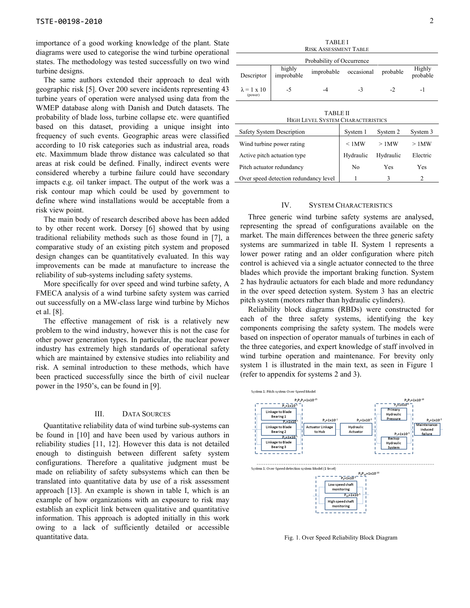importance of a good working knowledge of the plant. State diagrams were used to categorise the wind turbine operational states. The methodology was tested successfully on two wind turbine designs.

The same authors extended their approach to deal with geographic risk [5]. Over 200 severe incidents representing 43 turbine years of operation were analysed using data from the WMEP database along with Danish and Dutch datasets. The probability of blade loss, turbine collapse etc. were quantified based on this dataset, providing a unique insight into frequency of such events. Geographic areas were classified according to 10 risk categories such as industrial area, roads etc. Maximmum blade throw distance was calculated so that areas at risk could be defined. Finally, indirect events were considered whereby a turbine failure could have secondary impacts e.g. oil tanker impact. The output of the work was a risk contour map which could be used by government to define where wind installations would be acceptable from a risk view point.

The main body of research described above has been added to by other recent work. Dorsey [6] showed that by using traditional reliability methods such as those found in [7], a comparative study of an existing pitch system and proposed design changes can be quantitatively evaluated. In this way improvements can be made at manufacture to increase the reliability of sub-systems including safety systems.

More specifically for over speed and wind turbine safety, A FMECA analysis of a wind turbine safety system was carried out successfully on a MW-class large wind turbine by Michos et al. [8].

The effective management of risk is a relatively new problem to the wind industry, however this is not the case for other power generation types. In particular, the nuclear power industry has extremely high standards of operational safety which are maintained by extensive studies into reliability and risk. A seminal introduction to these methods, which have been practiced successfully since the birth of civil nuclear power in the 1950's, can be found in [9].

## III. DATA SOURCES

Quantitative reliability data of wind turbine sub-systems can be found in [10] and have been used by various authors in reliability studies [11, 12]. However this data is not detailed enough to distinguish between different safety system configurations. Therefore a qualitative judgment must be made on reliability of safety subsystems which can then be translated into quantitative data by use of a risk assessment approach [13]. An example is shown in table I, which is an example of how organizations with an exposure to risk may establish an explicit link between qualitative and quantitative information. This approach is adopted initially in this work owing to a lack of sufficiently detailed or accessible quantitative data.

| 1731212 L<br><b>RISK ASSESSMENT TABLE</b>            |                      |            |            |           |                    |  |  |  |  |  |
|------------------------------------------------------|----------------------|------------|------------|-----------|--------------------|--|--|--|--|--|
| Probability of Occurrence                            |                      |            |            |           |                    |  |  |  |  |  |
| Descriptor                                           | highly<br>improbable | improbable | occasional | probable  | Highly<br>probable |  |  |  |  |  |
| $\lambda = 1 \times 10$<br>(power)                   | $-5$                 | $-4$       | $-3$       | $-2$      | -1                 |  |  |  |  |  |
| TABLE II<br><b>HIGH LEVEL SYSTEM CHARACTERISTICS</b> |                      |            |            |           |                    |  |  |  |  |  |
| Safety System Description                            |                      |            | System 1   | System 2  | System 3           |  |  |  |  |  |
| Wind turbine power rating                            |                      |            | < 1MW      | >1MW      | $>1$ MW            |  |  |  |  |  |
| Active pitch actuation type                          |                      |            | Hydraulic  | Hydraulic | Electric           |  |  |  |  |  |
| Pitch actuator redundancy                            |                      |            | No         | Yes       | Yes                |  |  |  |  |  |

TABLE I

#### IV. SYSTEM CHARACTERISTICS

Over speed detection redundancy level

Three generic wind turbine safety systems are analysed, representing the spread of configurations available on the market. The main differences between the three generic safety systems are summarized in table II. System 1 represents a lower power rating and an older configuration where pitch control is achieved via a single actuator connected to the three blades which provide the important braking function. System 2 has hydraulic actuators for each blade and more redundancy in the over speed detection system. System 3 has an electric pitch system (motors rather than hydraulic cylinders).

Reliability block diagrams (RBDs) were constructed for each of the three safety systems, identifying the key components comprising the safety system. The models were based on inspection of operator manuals of turbines in each of the three categories, and expert knowledge of staff involved in wind turbine operation and maintenance. For brevity only system 1 is illustrated in the main text, as seen in Figure 1 (refer to appendix for systems 2 and 3).



Fig. 1. Over Speed Reliability Block Diagram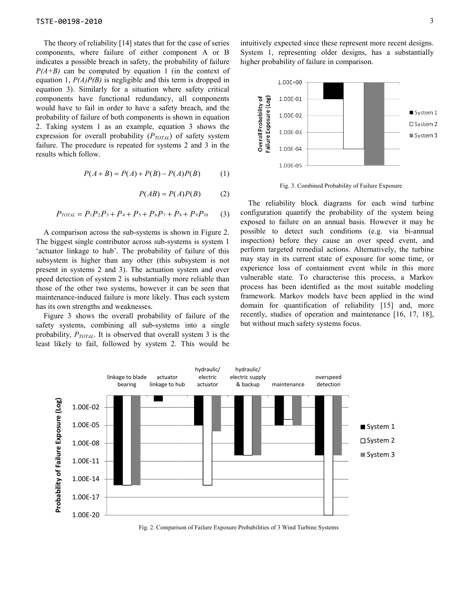The theory of reliability [14] states that for the case of series components, where failure of either component A or B The theory of reliability [14] states that for the case of series components, where failure of either component A or B indicates a possible breach in safety, the probability of failure *P(A+B)* can be computed by equation 1 (in the context of equation 1, *P(A)P(B)* is negligible and this term is dropped in equation 3). Similarly for a situation where safety critical components have functional redundancy, all components would have to fail in order to have a safety breach, and the probability of failure of both components is shown in equation 2. Taking system 1 as an example, equation 3 shows the expression for overall probability ( $P_{TOTAL}$ ) of safety system failure. The procedure is repeated for systems 2 and 3 in the results which follow. can be computed by equation 1 (in the context of 1,  $P(A)P(B)$  is negligible and this term is dropped in 3). Similarly for a situation where safety critical mts have functional redundancy, all components live to failure of

$$
P(A + B) = P(A) + P(B) - P(A)P(B)
$$
 (1)

$$
P(AB) = P(A)P(B) \tag{2}
$$

$$
P_{TOTAL} = P_1 P_2 P_3 + P_4 + P_5 + P_6 P_7 + P_8 + P_9 P_{10} \tag{3}
$$

A comparison across the sub-systems is shown in Figure 2. The biggest single contributor across sub-systems is system 1 'actuator linkage to hub'. The probability of failure of this subsystem is higher than any other (this subsystem is not present in systems 2 and 3). The actuation system and over A comparison across the sub-systems is shown in Figure 2.<br>The biggest single contributor across sub-systems is system 1<br>'actuator linkage to hub'. The probability of failure of this<br>subsystem is higher than any other (this those of the other two systems, however it can be seen that maintenance-induced failure is more likely. Thus each system has its own strengths and weaknesses.

Figure 3 shows the overall probability of failure of the safety systems, combining all sub-systems into a single probability, *PTOTAL*. It is observed that overall system 3 is the least likely to fail, followed by system 2. This would be

System 1, representing older designs, has a substantially higher probability of failure in comparison.



Fig. 3. Combined Probability of Failure Exposure

The theory of relativity [14] states that the three case of series intuitively expected since represent more recent designs. This is a substantially including the beach in staty, the probability of figure higher probabili The reliability block diagrams for each wind turbine configuration quantify the probability of the system being exposed to failure on an annual basis. However it may be exposed to failure on an annual basis. However it may be possible to detect such conditions (e.g. via bi-annual inspection) before they cause an over speed event, and perform targeted remedial actions. Alternatively, the turbine may stay in its current state of exposure for some time, or experience loss of containment event while in this more vulnerable state. To characterise this process, a Markov process has been identified as the most suitable modeling framework. Markov models have been applied in the wind domain for quantification of reliability [15] and, more recently, studies of operation and maintenance [16, 17, 18], but without much safety systems focus.



Fig. 2. Comparison of Failure Exposure Probabilities of 3 Wind Turbine Systems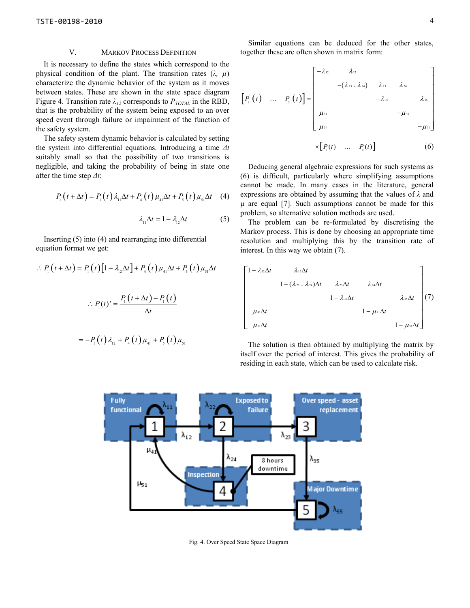#### V. MARKOV PROCESS DEFINITION

It is necessary to define the states which correspond to the physical condition of the plant. The transition rates (*λ, µ*) characterize the dynamic behavior of the system as it moves between states. These are shown in the state space diagram Figure 4. Transition rate  $\lambda_{12}$  corresponds to  $P_{TOTAL}$  in the RBD, that is the probability of the system being exposed to an over speed event through failure or impairment of the function of the safety system.

The safety system dynamic behavior is calculated by setting the system into differential equations. Introducing a time *∆t* suitably small so that the possibility of two transitions is negligible, and taking the probability of being in state one after the time step *∆t*:

$$
P_{1}(t+\Delta t)=P_{1}(t)\lambda_{11}\Delta t+P_{4}(t)\mu_{41}\Delta t+P_{5}(t)\mu_{51}\Delta t
$$
 (4)

$$
\lambda_{11} \Delta t = 1 - \lambda_{12} \Delta t \tag{5}
$$

Inserting (5) into (4) and rearranging into differential equation format we get:

$$
P_1(t + \Delta t) = P_1(t)[1 - \lambda_{12}\Delta t] + P_4(t)\mu_{41}\Delta t + P_5(t)\mu_{51}\Delta t
$$

$$
\therefore P_1(t)' = \frac{P_1(t + \Delta t) - P_1(t)}{\Delta t}
$$

$$
= -P_{1}(t)\lambda_{12} + P_{4}(t)\mu_{41} + P_{5}(t)\mu_{51}
$$

Similar equations can be deduced for the other states, together these are often shown in matrix form:

$$
\begin{bmatrix}\nP_1'(t) & \dots & P_s'(t)\n\end{bmatrix} = \begin{bmatrix}\n-\lambda_{12} & \lambda_{12} & & & & \\
 & -(\lambda_{23} + \lambda_{24}) & \lambda_{23} & \lambda_{24} & \\
 & & -\lambda_{35} & & \lambda_{35} \\
\mu_{41} & & & -\mu_{41} & \\
\mu_{53} & & & & -\mu_{51}\n\end{bmatrix}
$$

$$
\times \big[ P_{\scriptscriptstyle 1} (t) \quad \ldots \quad P_{\scriptscriptstyle 5} (t) \big] \tag{6}
$$

Deducing general algebraic expressions for such systems as (6) is difficult, particularly where simplifying assumptions cannot be made. In many cases in the literature, general expressions are obtained by assuming that the values of *λ* and µ are equal [7]. Such assumptions cannot be made for this problem, so alternative solution methods are used.

The problem can be re-formulated by discretising the Markov process. This is done by choosing an appropriate time resolution and multiplying this by the transition rate of interest. In this way we obtain (7).

$$
\begin{bmatrix}\n1-\lambda_{12}\Delta t & \lambda_{12}\Delta t & & & \\
 & 1-(\lambda_{23}+\lambda_{24})\Delta t & \lambda_{23}\Delta t & \lambda_{24}\Delta t & \\
 & & 1-\lambda_{35}\Delta t & \lambda_{35}\Delta t & \\
 & & & 1-\mu_{41}\Delta t & \\
 & & & & 1-\mu_{51}\Delta t\n\end{bmatrix}\n\begin{bmatrix}\n1-\lambda_{12}\Delta t & & & \\
 & \lambda_{24}\Delta t & & \\
 & & 1-\mu_{41}\Delta t & \\
 & & & 1-\mu_{51}\Delta t\n\end{bmatrix}\n\begin{bmatrix}\n1 & & & \\
 & \lambda_{13}\Delta t & & \\
 & & & 1-\mu_{52}\Delta t\n\end{bmatrix}
$$

The solution is then obtained by multiplying the matrix by itself over the period of interest. This gives the probability of residing in each state, which can be used to calculate risk.



Fig. 4. Over Speed State Space Diagram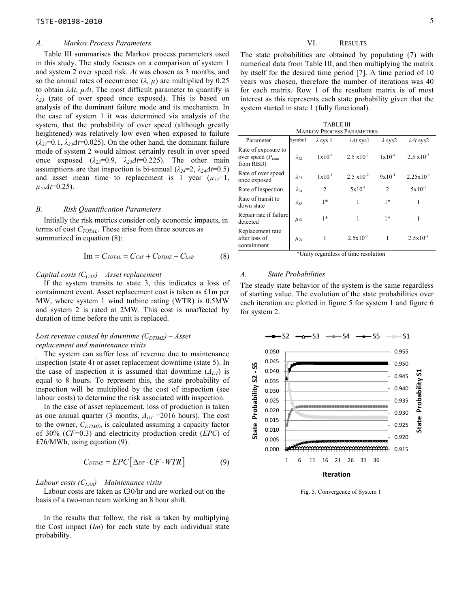### *A. Markov Process Parameters*

Table III summarises the Markov process parameters used in this study. The study focuses on a comparison of system 1 and system 2 over speed risk. *∆t* was chosen as 3 months, and so the annual rates of occurrence  $(\lambda, \mu)$  are multiplied by 0.25 to obtain *λ∆t*, *µ∆t*. The most difficult parameter to quantify is *λ23* (rate of over speed once exposed). This is based on analysis of the dominant failure mode and its mechanism. In the case of system 1 it was determined via analysis of the system, that the probability of over speed (although greatly heightened) was relatively low even when exposed to failure  $(\lambda_{23}=0.1, \lambda_{23}\Delta t=0.025)$ . On the other hand, the dominant failure mode of system 2 would almost certainly result in over speed once exposed  $(\lambda_{23}=0.9, \lambda_{23}\Delta t=0.225)$ . The other main assumptions are that inspection is bi-annual ( $\lambda_{24}=2$ ,  $\lambda_{24}\Delta t=0.5$ ) and asset mean time to replacement is 1 year  $(\mu_{51}=1)$ ,  $\mu_{5}A t=0.25$ ).

#### *B. Risk Quantification Parameters*

Initially the risk metrics consider only economic impacts, in terms of cost *CTOTAL*. These arise from three sources as summarized in equation (8):

$$
Im = C_{TOTAL} = C_{CAP} + C_{DTIME} + C_{LAB}
$$
 (8)

## *Capital costs (CCAP) – Asset replacement*

If the system transits to state 3, this indicates a loss of containment event. Asset replacement cost is taken as £1m per MW, where system 1 wind turbine rating (WTR) is 0.5MW and system 2 is rated at 2MW. This cost is unaffected by duration of time before the unit is replaced.

## *Lost revenue caused by downtime*  $(C_{DTIME})$  *– Asset replacement and maintenance visits*

The system can suffer loss of revenue due to maintenance inspection (state 4) or asset replacement downtime (state 5). In the case of inspection it is assumed that downtime  $(\Delta_{DT})$  is equal to 8 hours. To represent this, the state probability of inspection will be multiplied by the cost of inspection (see labour costs) to determine the risk associated with inspection.

In the case of asset replacement, loss of production is taken as one annual quarter (3 months, *∆DT* =2016 hours). The cost to the owner, *CDTIME*, is calculated assuming a capacity factor of 30% (*CF*=0.3) and electricity production credit (*EPC*) of £76/MWh, using equation (9).

$$
C_{DTIME} = EPC[\Delta_{DT} \cdot CF \cdot WTR]
$$
 (9)

## *Labour costs (CLAB) – Maintenance visits*

Labour costs are taken as £30/hr and are worked out on the basis of a two-man team working an 8 hour shift.

In the results that follow, the risk is taken by multiplying the Cost impact (*Im*) for each state by each individual state probability.

## VI. RESULTS

The state probabilities are obtained by populating (7) with numerical data from Table III, and then multiplying the matrix by itself for the desired time period [7]. A time period of 10 years was chosen, therefore the number of iterations was 40 for each matrix. Row 1 of the resultant matrix is of most interest as this represents each state probability given that the system started in state 1 (fully functional).

| <b>TABLE III</b>          |  |
|---------------------------|--|
| MADVOV PDOCESS PAD AMETED |  |

| <b>MARKOV PROCESS PARAMETERS</b>                            |                |                 |                      |                |                       |  |  |  |
|-------------------------------------------------------------|----------------|-----------------|----------------------|----------------|-----------------------|--|--|--|
| Parameter                                                   | Symbol         | $\lambda$ sys 1 | $\lambda$ dt sysl    | $\lambda$ sys2 | $\lambda$ 1t sys2     |  |  |  |
| Rate of exposure to<br>over speed $(P_{total}$<br>from RBD) | $\lambda_{12}$ | $1x10^{-1}$     | $2.5 \times 10^{-2}$ | $1x10^{-4}$    | $2.5 \times 10^{-5}$  |  |  |  |
| Rate of over speed<br>once exposed                          | $\lambda_{23}$ | $1x10^{-1}$     | $2.5 \times 10^{-2}$ | $9x10^{-1}$    | $2.25 \times 10^{-1}$ |  |  |  |
| Rate of inspection                                          | $\lambda_{24}$ | $\mathfrak{D}$  | $5x10^{-1}$          | $\mathfrak{D}$ | $5x10^{-1}$           |  |  |  |
| Rate of transit to<br>down state                            | $\lambda_{35}$ | $1*$            | 1                    | $1*$           | 1                     |  |  |  |
| Repair rate if failure<br>detected                          | $\mu_{41}$     | $1*$            | 1                    | $1*$           | 1                     |  |  |  |
| Replacement rate<br>after loss of<br>containment            | $\mu_{5I}$     | 1               | $2.5 \times 10^{-1}$ |                | $2.5x10^{-1}$         |  |  |  |
|                                                             | $\cdots$       |                 | $\sim$ $\sim$        |                |                       |  |  |  |

\*Unity regardless of time resolution

#### *A. State Probabilities*

The steady state behavior of the system is the same regardless of starting value. The evolution of the state probabilities over each iteration are plotted in figure 5 for system 1 and figure 6 for system 2.



Fig. 5. Convergence of System 1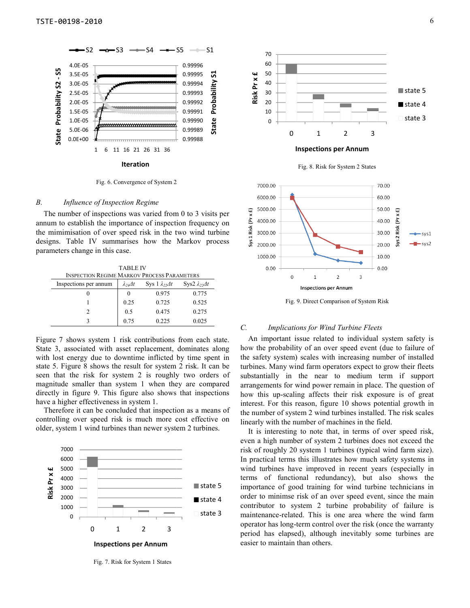

Fig. 6. Convergence of System 2

## *B. Influence of Inspection Regime*

The number of inspections was varied from 0 to 3 visits per annum to establish the importance of inspection frequency on the mimimisation of over speed risk in the t designs. Table IV summarises how the Markov process parameters change in this case. The number of inspections was varied from 0 to 3 visits per annum to establish the importance of inspection frequency on the mimimisation of over speed risk in the two wind turbine

TABLE IV INSPECTION REGIME MARKOV PROCESS PARAMETERS Inspections per annum  $\int \lambda_{24} \Delta t$  Sys 1  $\lambda_{22} \Delta t$ 0 0 0.975 1 0.25 0.725 2 0.5 0.475 3 0.75 0.225 Sys2 *λ22∆t* 0.775 0.525 0.275 0.025

Figure 7 shows system 1 risk contributions from each state. State 3, associated with asset replacement, dominates along with lost energy due to downtime inflicted by time spent in state 5. Figure 8 shows the result for system 2 risk. It can be seen that the risk for system 2 is roughly two orders of magnitude smaller than system 1 when they are compared directly in figure 9. This figure also shows that inspections have a higher effectiveness in system 1. Figure 7 shows system 1 risk contributions from each state.<br>State 3, associated with asset replacement, dominates along<br>with lost energy due to downtime inflicted by time spent in<br>state 5. Figure 8 shows the result for sys

Therefore it can be concluded that inspection as a means of controlling over speed risk is much more cost effective on controlling over speed risk is much more cost effective older, system 1 wind turbines than newer system 2 turbines.



Fig. 7. Risk for System 1 States



Fig. 9. Direct Comparison of System Risk

#### *C. Implications for Wind Turbine Fleets*

An important issue related to individual system safety is how the probability of an over speed event (due to failure of the safety system) scales with increasing number of installed turbines. Many wind farm operators expect to grow their fleets substantially in the near to medium term if support arrangements for wind power remain in place. The question of how this up-scaling affects their risk exposure is of great interest. For this reason, figure 10 shows potential growth in the number of system 2 wind turbines installed. The risk scales linearly with the number of machines in the field.

It is interesting to note that, in terms of over speed risk, even a high number of system 2 turbines does not exceed the risk of roughly 20 system 1 turbines (typical wind farm size). In practical terms this illustrates how much safety systems in wind turbines have improved in recent years (especially in terms of functional redundancy), but also shows the importance of good training for wind turbine technicians in order to minimse risk of an over speed event, since the main contributor to system 2 turbine probability of failure is maintenance-related. This is one area where the wind farm operator has long-term control over the risk (once the warranty period has elapsed), although inevitably some turbines are easier to maintain than others. his up-scaling affects their risk exposure is of great<br>st. For this reason, figure 10 shows potential growth in<br>mber of system 2 wind turbines installed. The risk scales<br>y with the number of machines in the field.<br>s intere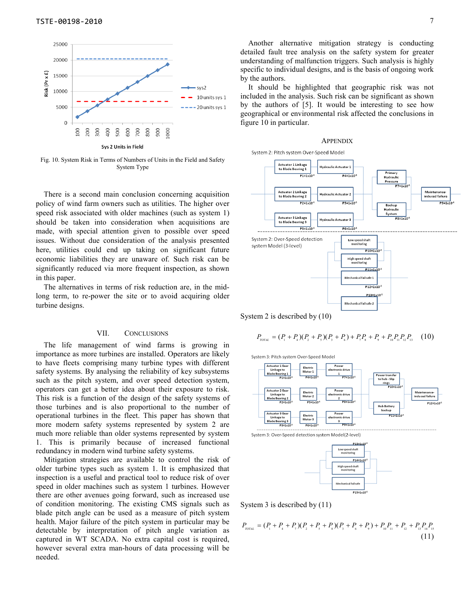

Fig. 10. System Risk in Terms of Numbers of Units in the Field and Safety System Type

There is a second main conclusion concerning acquisition policy of wind farm owners such as utilities. The higher over speed risk associated with older machines (such as system 1) should be taken into consideration when acquisitions are made, with special attention given to possible over speed issues. Without due consideration of the analysis presented here, utilities could end up taking on significant future economic liabilities they are unaware of. Such risk can be significantly reduced via more frequent inspection, as shown in this paper. There is a second main conclusion concerning acquisition<br>policy of wind farm owners such as utilities. The higher over<br>speed risk associated with older machines (such as system 1)<br>should be taken into consideration when ac

The alternatives in terms of risk reduction are, in the mid long term, to re-power the site or to avoid acquiring older turbine designs.

## VII. CONCLUSIONS

The life management of wind farms is growing in importance as more turbines are installed. Operators are likely to have fleets comprising many turbine types with different safety systems. By analysing the reliability of key subsystems such as the pitch system, and over speed detection system, operators can get a better idea about their exposure to risk. This risk is a function of the design of the safety systems of those turbines and is also proportional to the number of operational turbines in the fleet. This paper has shown that more modern safety systems represented by system 2 are much more reliable than older systems represented by system 1. This is primarily because of increased functional redundancy in modern wind turbine safety systems. long term, to re-power the site or to avoid acquiring older<br>turbine designs.<br>
VII. CONCLUSIONS<br>
The life management of wind farms is growing in<br>
importance as more turbines are installed. Operators are likely<br>
to have flee

Mitigation strategies are available to control the risk of older turbine types such as system 1. It is emphasized that inspection is a useful and practical tool to reduce risk of over speed in older machines such as system 1 turbines. However there are other avenues going forward, such as increased use of condition monitoring. The existing CMS signals such as blade pitch angle can be used as a measure of p health. Major failure of the pitch system in particular may be detectable by interpretation of pitch angle variation as captured in WT SCADA. No extra capital cost is required, however several extra man-hours of data processing will be needed.

It should be highlighted that geographic risk was not included in the analysis. Such risk can be significant as shown by the authors of [5]. It would be interesting to see how geographical or environmental risk affected the conclusions in figure 10 in particular.

#### APPENDIX



System 2 is described by (10)

$$
P_{\text{total}} = (P_{1} + P_{4})(P_{2} + P_{5})(P_{3} + P_{6}) + P_{7}P_{8} + P_{9} + P_{10}P_{11}P_{12}P_{13} \tag{10}
$$





System 3 is described by (11)

$$
P_{\text{total}} = (P_{1} + P_{4} + P_{7})(P_{2} + P_{5} + P_{8})(P_{3} + P_{6} + P_{9}) + P_{10}P_{11} + P_{12} + P_{13}P_{14}P_{15}
$$
\n(11)